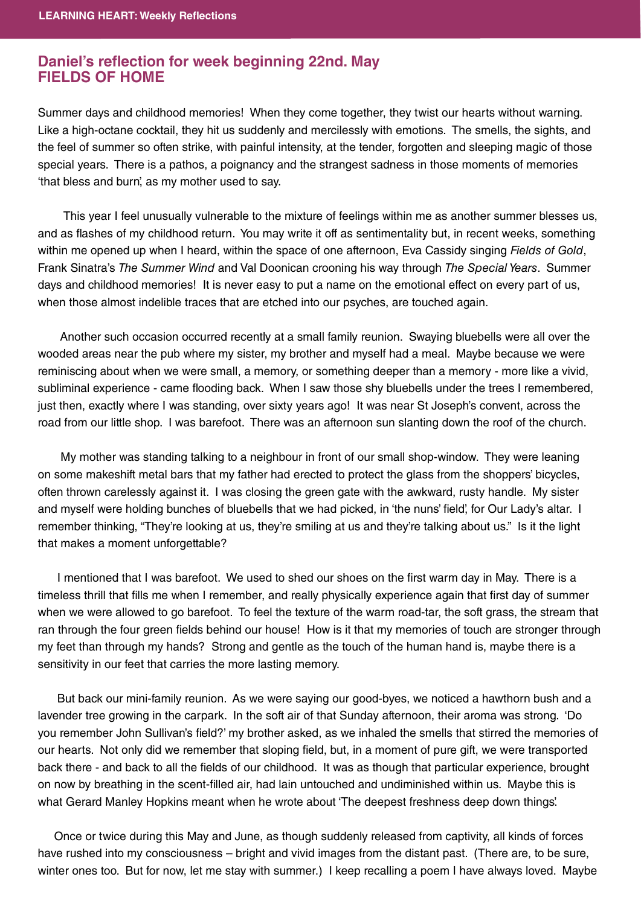## **Daniel's reflection for week beginning 22nd. May FIELDS OF HOME**

Summer days and childhood memories! When they come together, they twist our hearts without warning. Like a high-octane cocktail, they hit us suddenly and mercilessly with emotions. The smells, the sights, and the feel of summer so often strike, with painful intensity, at the tender, forgotten and sleeping magic of those special years. There is a pathos, a poignancy and the strangest sadness in those moments of memories 'that bless and burn', as my mother used to say.

 This year I feel unusually vulnerable to the mixture of feelings within me as another summer blesses us, and as flashes of my childhood return. You may write it off as sentimentality but, in recent weeks, something within me opened up when I heard, within the space of one afternoon, Eva Cassidy singing Fields of Gold, Frank Sinatra's The Summer Wind and Val Doonican crooning his way through The Special Years. Summer days and childhood memories! It is never easy to put a name on the emotional effect on every part of us, when those almost indelible traces that are etched into our psyches, are touched again.

 Another such occasion occurred recently at a small family reunion. Swaying bluebells were all over the wooded areas near the pub where my sister, my brother and myself had a meal. Maybe because we were reminiscing about when we were small, a memory, or something deeper than a memory - more like a vivid, subliminal experience - came flooding back. When I saw those shy bluebells under the trees I remembered, just then, exactly where I was standing, over sixty years ago! It was near St Joseph's convent, across the road from our little shop. I was barefoot. There was an afternoon sun slanting down the roof of the church.

 My mother was standing talking to a neighbour in front of our small shop-window. They were leaning on some makeshift metal bars that my father had erected to protect the glass from the shoppers' bicycles, often thrown carelessly against it. I was closing the green gate with the awkward, rusty handle. My sister and myself were holding bunches of bluebells that we had picked, in 'the nuns' field', for Our Lady's altar. I remember thinking, "They're looking at us, they're smiling at us and they're talking about us." Is it the light that makes a moment unforgettable?

I mentioned that I was barefoot. We used to shed our shoes on the first warm day in May. There is a timeless thrill that fills me when I remember, and really physically experience again that first day of summer when we were allowed to go barefoot. To feel the texture of the warm road-tar, the soft grass, the stream that ran through the four green fields behind our house! How is it that my memories of touch are stronger through my feet than through my hands? Strong and gentle as the touch of the human hand is, maybe there is a sensitivity in our feet that carries the more lasting memory.

 But back our mini-family reunion. As we were saying our good-byes, we noticed a hawthorn bush and a lavender tree growing in the carpark. In the soft air of that Sunday afternoon, their aroma was strong. 'Do you remember John Sullivan's field?' my brother asked, as we inhaled the smells that stirred the memories of our hearts. Not only did we remember that sloping field, but, in a moment of pure gift, we were transported back there - and back to all the fields of our childhood. It was as though that particular experience, brought on now by breathing in the scent-fi lled air, had lain untouched and undiminished within us. Maybe this is what Gerard Manley Hopkins meant when he wrote about 'The deepest freshness deep down things'.

 Once or twice during this May and June, as though suddenly released from captivity, all kinds of forces have rushed into my consciousness – bright and vivid images from the distant past. (There are, to be sure, winter ones too. But for now, let me stay with summer.) I keep recalling a poem I have always loved. Maybe